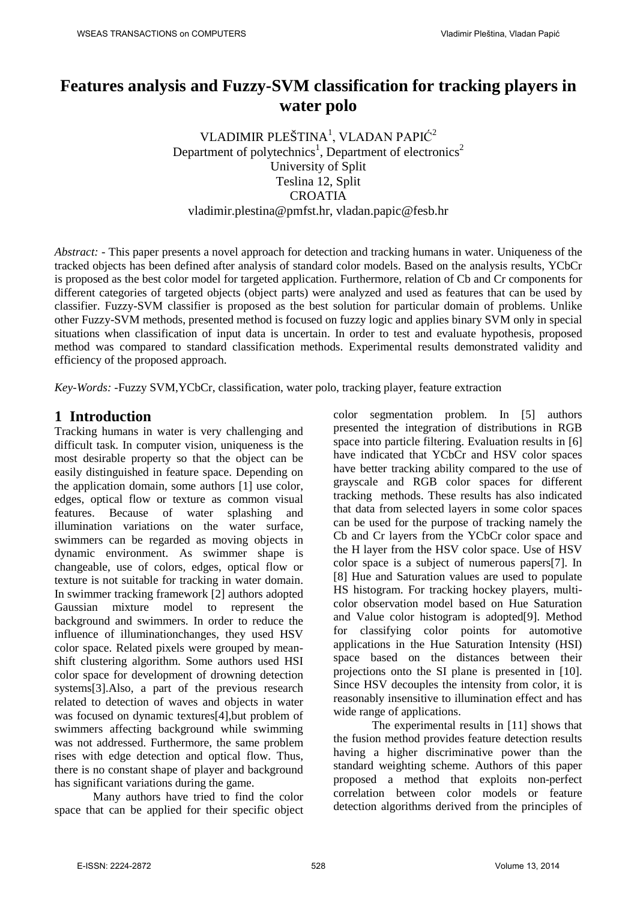# **Features analysis and Fuzzy-SVM classification for tracking players in water polo**

VLADIMIR PLEŠTINA $^{\rm l}$ , VLADAN PAPIĆ $^{\rm 2}$ Department of polytechnics<sup>1</sup>, Department of electronics<sup>2</sup> University of Split Teslina 12, Split **CROATIA** vladimir.plestina@pmfst.hr, vladan.papic@fesb.hr

*Abstract: -* This paper presents a novel approach for detection and tracking humans in water. Uniqueness of the tracked objects has been defined after analysis of standard color models. Based on the analysis results, YCbCr is proposed as the best color model for targeted application. Furthermore, relation of Cb and Cr components for different categories of targeted objects (object parts) were analyzed and used as features that can be used by classifier. Fuzzy-SVM classifier is proposed as the best solution for particular domain of problems. Unlike other Fuzzy-SVM methods, presented method is focused on fuzzy logic and applies binary SVM only in special situations when classification of input data is uncertain. In order to test and evaluate hypothesis, proposed method was compared to standard classification methods. Experimental results demonstrated validity and efficiency of the proposed approach.

*Key-Words: -*Fuzzy SVM,YCbCr, classification, water polo, tracking player, feature extraction

## **1 Introduction**

Tracking humans in water is very challenging and difficult task. In computer vision, uniqueness is the most desirable property so that the object can be easily distinguished in feature space. Depending on the application domain, some authors [1] use color, edges, optical flow or texture as common visual features. Because of water splashing and illumination variations on the water surface, swimmers can be regarded as moving objects in dynamic environment. As swimmer shape is changeable, use of colors, edges, optical flow or texture is not suitable for tracking in water domain. In swimmer tracking framework [2] authors adopted Gaussian mixture model to represent the background and swimmers. In order to reduce the influence of illuminationchanges, they used HSV color space. Related pixels were grouped by meanshift clustering algorithm. Some authors used HSI color space for development of drowning detection systems[3].Also, a part of the previous research related to detection of waves and objects in water was focused on dynamic textures[4],but problem of swimmers affecting background while swimming was not addressed. Furthermore, the same problem rises with edge detection and optical flow. Thus, there is no constant shape of player and background has significant variations during the game.

Many authors have tried to find the color space that can be applied for their specific object color segmentation problem. In [5] authors presented the integration of distributions in RGB space into particle filtering. Evaluation results in [6] have indicated that YCbCr and HSV color spaces have better tracking ability compared to the use of grayscale and RGB color spaces for different tracking methods. These results has also indicated that data from selected layers in some color spaces can be used for the purpose of tracking namely the Cb and Cr layers from the YCbCr color space and the H layer from the HSV color space. Use of HSV color space is a subject of numerous papers[7]. In [8] Hue and Saturation values are used to populate HS histogram. For tracking hockey players, multicolor observation model based on Hue Saturation and Value color histogram is adopted[9]. Method for classifying color points for automotive applications in the Hue Saturation Intensity (HSI) space based on the distances between their projections onto the SI plane is presented in [10]. Since HSV decouples the intensity from color, it is reasonably insensitive to illumination effect and has wide range of applications.

The experimental results in [11] shows that the fusion method provides feature detection results having a higher discriminative power than the standard weighting scheme. Authors of this paper proposed a method that exploits non-perfect correlation between color models or feature detection algorithms derived from the principles of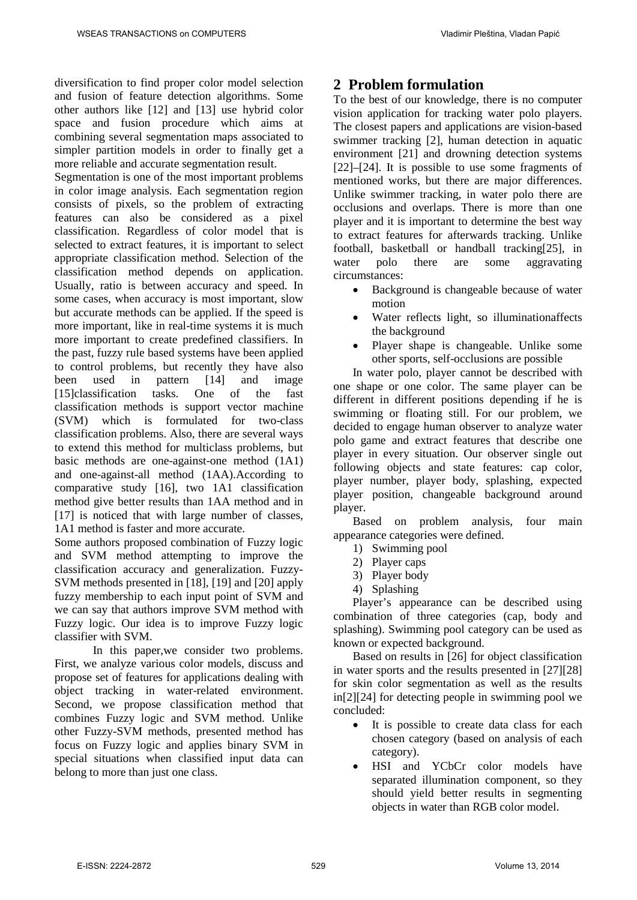diversification to find proper color model selection and fusion of feature detection algorithms. Some other authors like [12] and [13] use hybrid color space and fusion procedure which aims at combining several segmentation maps associated to simpler partition models in order to finally get a more reliable and accurate segmentation result.

Segmentation is one of the most important problems in color image analysis. Each segmentation region consists of pixels, so the problem of extracting features can also be considered as a pixel classification. Regardless of color model that is selected to extract features, it is important to select appropriate classification method. Selection of the classification method depends on application. Usually, ratio is between accuracy and speed. In some cases, when accuracy is most important, slow but accurate methods can be applied. If the speed is more important, like in real-time systems it is much more important to create predefined classifiers. In the past, fuzzy rule based systems have been applied to control problems, but recently they have also been used in pattern [14] and image [15]classification tasks. One of the fast classification methods is support vector machine (SVM) which is formulated for two-class classification problems. Also, there are several ways to extend this method for multiclass problems, but basic methods are one-against-one method (1A1) and one-against-all method (1AA).According to comparative study [16], two 1A1 classification method give better results than 1AA method and in [17] is noticed that with large number of classes, 1A1 method is faster and more accurate.

Some authors proposed combination of Fuzzy logic and SVM method attempting to improve the classification accuracy and generalization. Fuzzy-SVM methods presented in [18], [19] and [20] apply fuzzy membership to each input point of SVM and we can say that authors improve SVM method with Fuzzy logic. Our idea is to improve Fuzzy logic classifier with SVM.

In this paper,we consider two problems. First, we analyze various color models, discuss and propose set of features for applications dealing with object tracking in water-related environment. Second, we propose classification method that combines Fuzzy logic and SVM method. Unlike other Fuzzy-SVM methods, presented method has focus on Fuzzy logic and applies binary SVM in special situations when classified input data can belong to more than just one class.

## **2 Problem formulation**

To the best of our knowledge, there is no computer vision application for tracking water polo players. The closest papers and applications are vision-based swimmer tracking [2], human detection in aquatic environment [21] and drowning detection systems [22]–[24]. It is possible to use some fragments of mentioned works, but there are major differences. Unlike swimmer tracking, in water polo there are occlusions and overlaps. There is more than one player and it is important to determine the best way to extract features for afterwards tracking. Unlike football, basketball or handball tracking[25], in water polo there are some aggravating circumstances:

- Background is changeable because of water motion
- Water reflects light, so illuminationaffects the background
- Player shape is changeable. Unlike some other sports, self-occlusions are possible

In water polo, player cannot be described with one shape or one color. The same player can be different in different positions depending if he is swimming or floating still. For our problem, we decided to engage human observer to analyze water polo game and extract features that describe one player in every situation. Our observer single out following objects and state features: cap color, player number, player body, splashing, expected player position, changeable background around player.

Based on problem analysis, four main appearance categories were defined.

- 1) Swimming pool
- 2) Player caps
- 3) Player body
- 4) Splashing

Player's appearance can be described using combination of three categories (cap, body and splashing). Swimming pool category can be used as known or expected background.

Based on results in [26] for object classification in water sports and the results presented in [27][28] for skin color segmentation as well as the results in[2][24] for detecting people in swimming pool we concluded:

- It is possible to create data class for each chosen category (based on analysis of each category).
- HSI and YCbCr color models have separated illumination component, so they should yield better results in segmenting objects in water than RGB color model.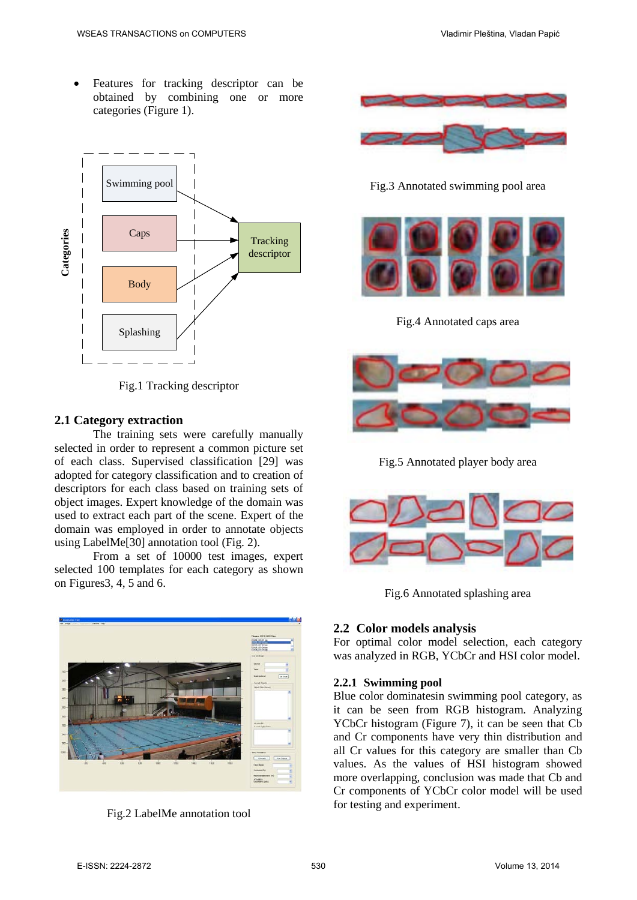• Features for tracking descriptor can be obtained by combining one or more categories (Figure 1).



Fig.1 Tracking descriptor

#### **2.1 Category extraction**

The training sets were carefully manually selected in order to represent a common picture set of each class. Supervised classification [29] was adopted for category classification and to creation of descriptors for each class based on training sets of object images. Expert knowledge of the domain was used to extract each part of the scene. Expert of the domain was employed in order to annotate objects using LabelMe[30] annotation tool (Fig. 2).

From a set of 10000 test images, expert selected 100 templates for each category as shown on Figures3, 4, 5 and 6.



Fig.2 LabelMe annotation tool



Fig.3 Annotated swimming pool area



Fig.4 Annotated caps area



Fig.5 Annotated player body area



Fig.6 Annotated splashing area

#### **2.2 Color models analysis**

For optimal color model selection, each category was analyzed in RGB, YCbCr and HSI color model.

#### **2.2.1 Swimming pool**

Blue color dominatesin swimming pool category, as it can be seen from RGB histogram. Analyzing YCbCr histogram (Figure 7), it can be seen that Cb and Cr components have very thin distribution and all Cr values for this category are smaller than Cb values. As the values of HSI histogram showed more overlapping, conclusion was made that Cb and Cr components of YCbCr color model will be used for testing and experiment.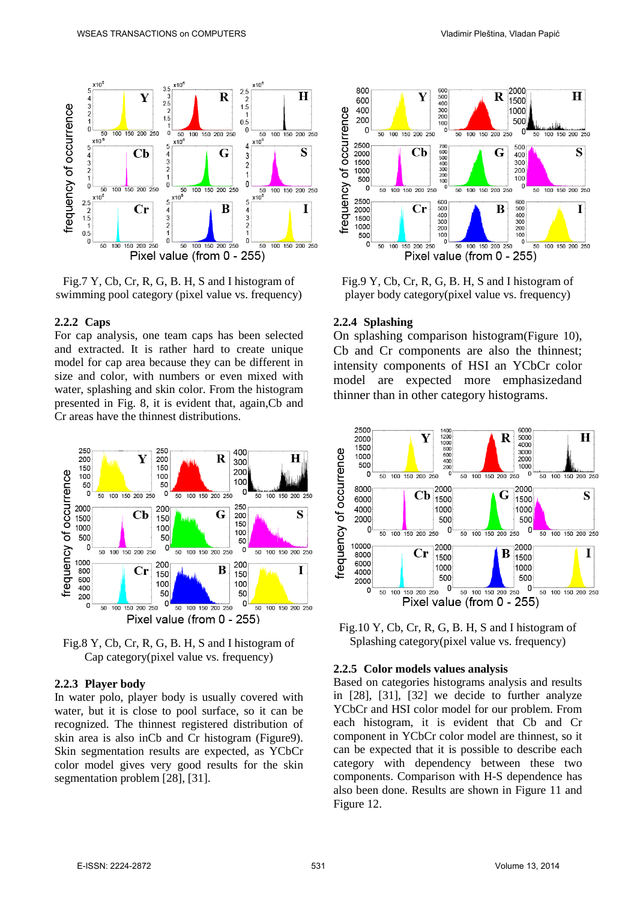

Fig.7 Y, Cb, Cr, R, G, B. H, S and I histogram of swimming pool category (pixel value vs. frequency)

#### **2.2.2 Caps**

For cap analysis, one team caps has been selected and extracted. It is rather hard to create unique model for cap area because they can be different in size and color, with numbers or even mixed with water, splashing and skin color. From the histogram presented in Fig. 8, it is evident that, again, Cb and Cr areas have the thinnest distributions.





#### **2.2.3 Player body**

In water polo, player body is usually covered with water, but it is close to pool surface, so it can be recognized. The thinnest registered distribution of skin area is also inCb and Cr histogram (Figure9). Skin segmentation results are expected, as YCbCr color model gives very good results for the skin segmentation problem [28], [31].



Fig.9 Y, Cb, Cr, R, G, B. H, S and I histogram of player body category(pixel value vs. frequency)

#### **2.2.4 Splashing**

On splashing comparison histogram(Figure 10), Cb and Cr components are also the thinnest; intensity components of HSI an YCbCr color model are expected more emphasizedand thinner than in other category histograms.





#### **2.2.5 Color models values analysis**

Based on categories histograms analysis and results in [28], [31], [32] we decide to further analyze YCbCr and HSI color model for our problem. From each histogram, it is evident that Cb and Cr component in YCbCr color model are thinnest, so it can be expected that it is possible to describe each category with dependency between these two components. Comparison with H-S dependence has also been done. Results are shown in Figure 11 and Figure 12.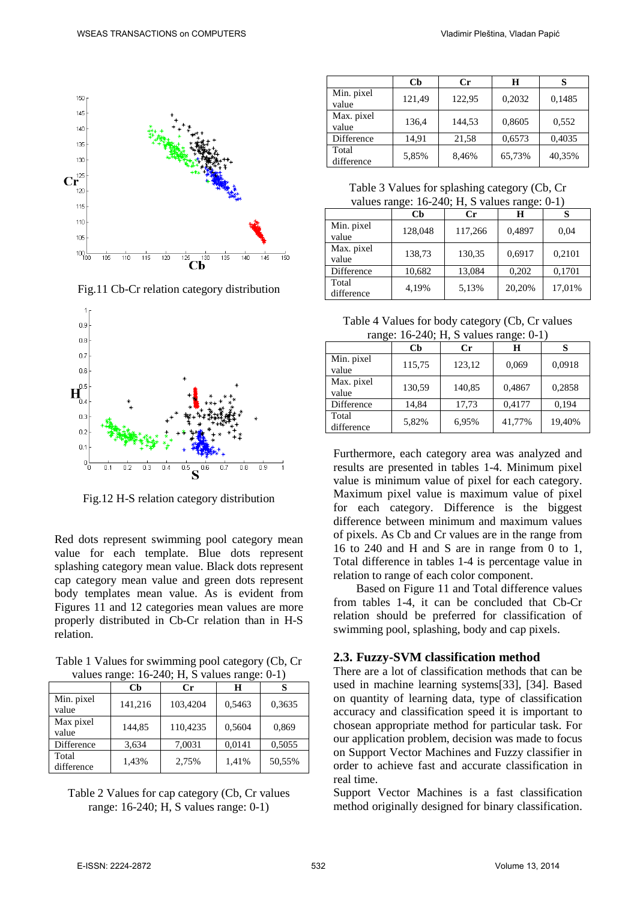

Fig.11 Cb-Cr relation category distribution



Fig.12 H-S relation category distribution

Red dots represent swimming pool category mean value for each template. Blue dots represent splashing category mean value. Black dots represent cap category mean value and green dots represent body templates mean value. As is evident from Figures 11 and 12 categories mean values are more properly distributed in Cb-Cr relation than in H-S relation.

Table 1 Values for swimming pool category (Cb, Cr values range:  $16-240$ ; H, S values range: 0-1)

| $\frac{1}{2}$       |              |          |        |        |  |  |
|---------------------|--------------|----------|--------|--------|--|--|
|                     | $\mathbf{C}$ | Cr       | Н      |        |  |  |
| Min. pixel<br>value | 141,216      | 103,4204 | 0,5463 | 0,3635 |  |  |
| Max pixel<br>value  | 144,85       | 110,4235 | 0,5604 | 0,869  |  |  |
| Difference          | 3,634        | 7,0031   | 0,0141 | 0,5055 |  |  |
| Total<br>difference | 1,43%        | 2,75%    | 1,41%  | 50,55% |  |  |

Table 2 Values for cap category (Cb, Cr values range: 16-240; H, S values range: 0-1)

|                     | Cb     | Cr     | H      |        |
|---------------------|--------|--------|--------|--------|
| Min. pixel<br>value | 121,49 | 122,95 | 0,2032 | 0.1485 |
| Max. pixel<br>value | 136,4  | 144,53 | 0,8605 | 0,552  |
| Difference          | 14,91  | 21,58  | 0,6573 | 0,4035 |
| Total<br>difference | 5,85%  | 8,46%  | 65,73% | 40,35% |

Table 3 Values for splashing category (Cb, Cr values range: 16-240; H, S values range: 0-1)

| -- 0<br>-- 0        |         |         |        |        |  |  |
|---------------------|---------|---------|--------|--------|--|--|
|                     | Сb      | Сr      | Н      |        |  |  |
| Min. pixel<br>value | 128,048 | 117,266 | 0,4897 | 0.04   |  |  |
| Max. pixel<br>value | 138,73  | 130,35  | 0.6917 | 0,2101 |  |  |
| Difference          | 10,682  | 13,084  | 0,202  | 0,1701 |  |  |
| Total<br>difference | 4,19%   | 5,13%   | 20,20% | 17,01% |  |  |

Table 4 Values for body category (Cb, Cr values range:  $16-240$ ; H, S values range: 0-1)

| -0<br>- יס          |        |        |        |        |  |  |
|---------------------|--------|--------|--------|--------|--|--|
|                     | Сb     | Сr     | н      |        |  |  |
| Min. pixel<br>value | 115,75 | 123,12 | 0,069  | 0,0918 |  |  |
| Max. pixel<br>value | 130,59 | 140,85 | 0,4867 | 0,2858 |  |  |
| Difference          | 14,84  | 17,73  | 0.4177 | 0,194  |  |  |
| Total<br>difference | 5,82%  | 6,95%  | 41,77% | 19,40% |  |  |

Furthermore, each category area was analyzed and results are presented in tables 1-4. Minimum pixel value is minimum value of pixel for each category. Maximum pixel value is maximum value of pixel for each category. Difference is the biggest difference between minimum and maximum values of pixels. As Cb and Cr values are in the range from 16 to 240 and H and S are in range from 0 to 1, Total difference in tables 1-4 is percentage value in relation to range of each color component.

Based on Figure 11 and Total difference values from tables 1-4, it can be concluded that Cb-Cr relation should be preferred for classification of swimming pool, splashing, body and cap pixels.

#### **2.3. Fuzzy-SVM classification method**

There are a lot of classification methods that can be used in machine learning systems[33], [34]. Based on quantity of learning data, type of classification accuracy and classification speed it is important to chosean appropriate method for particular task. For our application problem, decision was made to focus on Support Vector Machines and Fuzzy classifier in order to achieve fast and accurate classification in real time.

Support Vector Machines is a fast classification method originally designed for binary classification.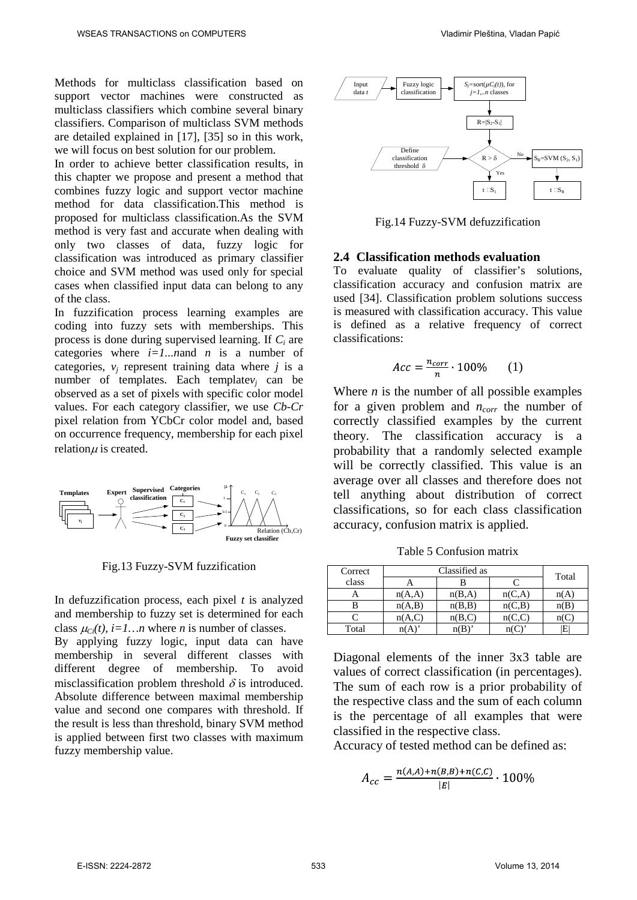Methods for multiclass classification based on support vector machines were constructed as multiclass classifiers which combine several binary classifiers. Comparison of multiclass SVM methods are detailed explained in [17], [35] so in this work, we will focus on best solution for our problem.

In order to achieve better classification results, in this chapter we propose and present a method that combines fuzzy logic and support vector machine method for data classification.This method is proposed for multiclass classification.As the SVM method is very fast and accurate when dealing with only two classes of data, fuzzy logic for classification was introduced as primary classifier choice and SVM method was used only for special cases when classified input data can belong to any of the class.

In fuzzification process learning examples are coding into fuzzy sets with memberships. This process is done during supervised learning. If *Ci* are categories where *i=1...n*and *n* is a number of categories,  $v_i$  represent training data where  $j$  is a number of templates. Each template $v_i$  can be observed as a set of pixels with specific color model values. For each category classifier, we use *Cb-Cr* pixel relation from YCbCr color model and, based on occurrence frequency, membership for each pixel relation $\mu$  is created.



Fig.13 Fuzzy-SVM fuzzification

In defuzzification process, each pixel *t* is analyzed and membership to fuzzy set is determined for each class  $\mu_C(t)$ ,  $i=1...n$  where *n* is number of classes.

By applying fuzzy logic, input data can have membership in several different classes with different degree of membership. To avoid misclassification problem threshold  $\delta$  is introduced. Absolute difference between maximal membership value and second one compares with threshold. If the result is less than threshold, binary SVM method is applied between first two classes with maximum fuzzy membership value.



Fig.14 Fuzzy-SVM defuzzification

#### **2.4 Classification methods evaluation**

To evaluate quality of classifier's solutions, classification accuracy and confusion matrix are used [34]. Classification problem solutions success is measured with classification accuracy. This value is defined as a relative frequency of correct classifications:

$$
Acc = \frac{n_{corr}}{n} \cdot 100\% \qquad (1)
$$

Where  $n$  is the number of all possible examples for a given problem and  $n_{corr}$  the number of correctly classified examples by the current theory. The classification accuracy is a probability that a randomly selected example will be correctly classified. This value is an average over all classes and therefore does not tell anything about distribution of correct classifications, so for each class classification accuracy, confusion matrix is applied.

Table 5 Confusion matrix

| Correct |        | Total  |         |     |
|---------|--------|--------|---------|-----|
| class   |        |        |         |     |
|         | n(A,A) | n(B,A) | n(C,A)  | n(A |
| в       | n(A,B) | n(B,B) | n(C,B)  | n(B |
|         | n(A,C) | n(B,C) | n(C, C) |     |
| Total   |        |        |         | F.  |

Diagonal elements of the inner 3x3 table are values of correct classification (in percentages). The sum of each row is a prior probability of the respective class and the sum of each column is the percentage of all examples that were classified in the respective class.

Accuracy of tested method can be defined as:

$$
A_{cc} = \frac{n_{(A,A) + n(B,B) + n(C,C)}}{|E|} \cdot 100\%
$$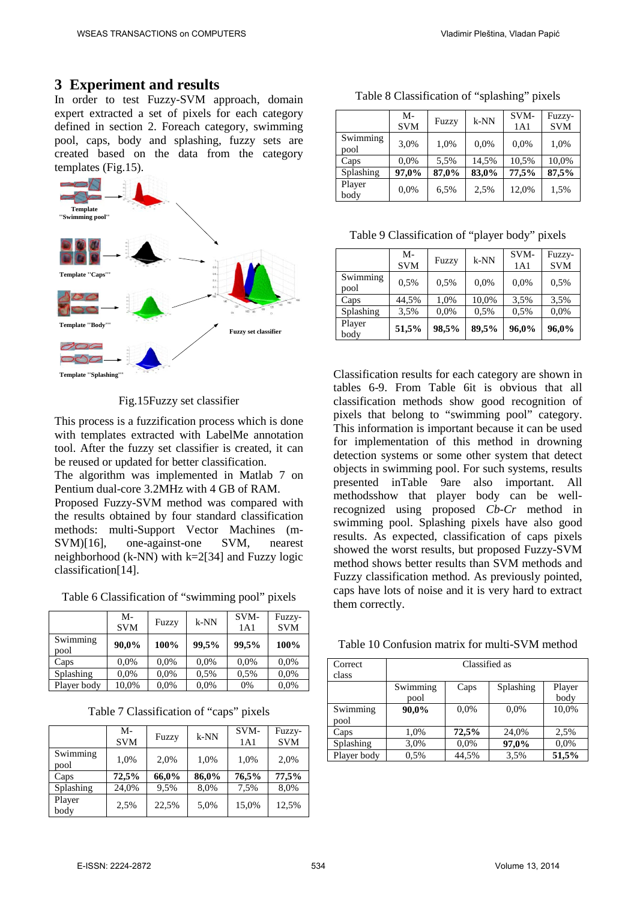### **3 Experiment and results**

In order to test Fuzzy-SVM approach, domain expert extracted a set of pixels for each category defined in section 2. Foreach category, swimming pool, caps, body and splashing, fuzzy sets are created based on the data from the category templates (Fig.15).



Fig.15Fuzzy set classifier

This process is a fuzzification process which is done with templates extracted with LabelMe annotation tool. After the fuzzy set classifier is created, it can be reused or updated for better classification.

The algorithm was implemented in Matlab 7 on Pentium dual-core 3.2MHz with 4 GB of RAM.

Proposed Fuzzy-SVM method was compared with the results obtained by four standard classification methods: multi-Support Vector Machines (m-SVM)[16], one-against-one SVM, nearest neighborhood  $(k-NN)$  with  $k=2[34]$  and Fuzzy logic classification[14].

Table 6 Classification of "swimming pool" pixels

|                  | M-<br><b>SVM</b> | Fuzzy | $k-NN$ | SVM-<br>1A1 | Fuzzy-<br><b>SVM</b> |
|------------------|------------------|-------|--------|-------------|----------------------|
| Swimming<br>pool | 90,0%            | 100%  | 99,5%  | 99,5%       | 100%                 |
| Caps             | 0.0%             | 0.0%  | 0.0%   | 0.0%        | 0,0%                 |
| Splashing        | 0.0%             | 0.0%  | 0.5%   | 0.5%        | 0,0%                 |
| Player body      | 10,0%            | 0,0%  | 0.0%   | 0%          | 0.0%                 |

Table 7 Classification of "caps" pixels

|                  | M-<br><b>SVM</b> | Fuzzy | $k-NN$ | SVM-<br>1A1 | Fuzzy-<br><b>SVM</b> |
|------------------|------------------|-------|--------|-------------|----------------------|
| Swimming<br>pool | 1,0%             | 2,0%  | 1,0%   | 1,0%        | 2,0%                 |
| Caps             | 72,5%            | 66,0% | 86,0%  | 76,5%       | 77,5%                |
| Splashing        | 24,0%            | 9,5%  | 8,0%   | 7,5%        | 8,0%                 |
| Player<br>body   | 2,5%             | 22,5% | 5,0%   | 15,0%       | 12,5%                |

| Table 8 Classification of "splashing" pixels |  |  |  |
|----------------------------------------------|--|--|--|
|----------------------------------------------|--|--|--|

|                  | M-<br><b>SVM</b> | Fuzzy | $k-NN$ | SVM-<br>1A1 | Fuzzy-<br><b>SVM</b> |
|------------------|------------------|-------|--------|-------------|----------------------|
| Swimming<br>pool | 3,0%             | 1,0%  | 0.0%   | 0,0%        | 1,0%                 |
| Caps             | 0,0%             | 5,5%  | 14,5%  | 10,5%       | 10,0%                |
| Splashing        | 97,0%            | 87,0% | 83,0%  | 77,5%       | 87,5%                |
| Player<br>body   | 0.0%             | 6,5%  | 2,5%   | 12,0%       | 1,5%                 |

Table 9 Classification of "player body" pixels

|                  | M-<br><b>SVM</b> | Fuzzy | $k-NN$ | SVM-<br>1A1 | Fuzzy-<br><b>SVM</b> |
|------------------|------------------|-------|--------|-------------|----------------------|
| Swimming<br>pool | 0.5%             | 0.5%  | 0,0%   | 0,0%        | 0,5%                 |
| Caps             | 44,5%            | 1,0%  | 10,0%  | 3.5%        | 3,5%                 |
| Splashing        | 3.5%             | 0.0%  | 0,5%   | 0.5%        | 0,0%                 |
| Player<br>body   | 51,5%            | 98,5% | 89,5%  | 96,0%       | 96,0%                |

Classification results for each category are shown in tables 6-9. From Table 6it is obvious that all classification methods show good recognition of pixels that belong to "swimming pool" category. This information is important because it can be used for implementation of this method in drowning detection systems or some other system that detect objects in swimming pool. For such systems, results presented inTable 9are also important. All methodsshow that player body can be wellrecognized using proposed *Cb-Cr* method in swimming pool. Splashing pixels have also good results. As expected, classification of caps pixels showed the worst results, but proposed Fuzzy-SVM method shows better results than SVM methods and Fuzzy classification method. As previously pointed, caps have lots of noise and it is very hard to extract them correctly.

Table 10 Confusion matrix for multi-SVM method

| Correct     | Classified as |       |           |        |  |  |
|-------------|---------------|-------|-----------|--------|--|--|
| class       |               |       |           |        |  |  |
|             | Swimming      | Caps  | Splashing | Player |  |  |
|             | pool          |       |           | body   |  |  |
| Swimming    | 90,0%         | 0.0%  | 0.0%      | 10,0%  |  |  |
| pool        |               |       |           |        |  |  |
| Caps        | 1,0%          | 72,5% | 24.0%     | 2.5%   |  |  |
| Splashing   | 3,0%          | 0.0%  | 97,0%     | 0.0%   |  |  |
| Player body | 0.5%          | 44,5% | 3.5%      | 51,5%  |  |  |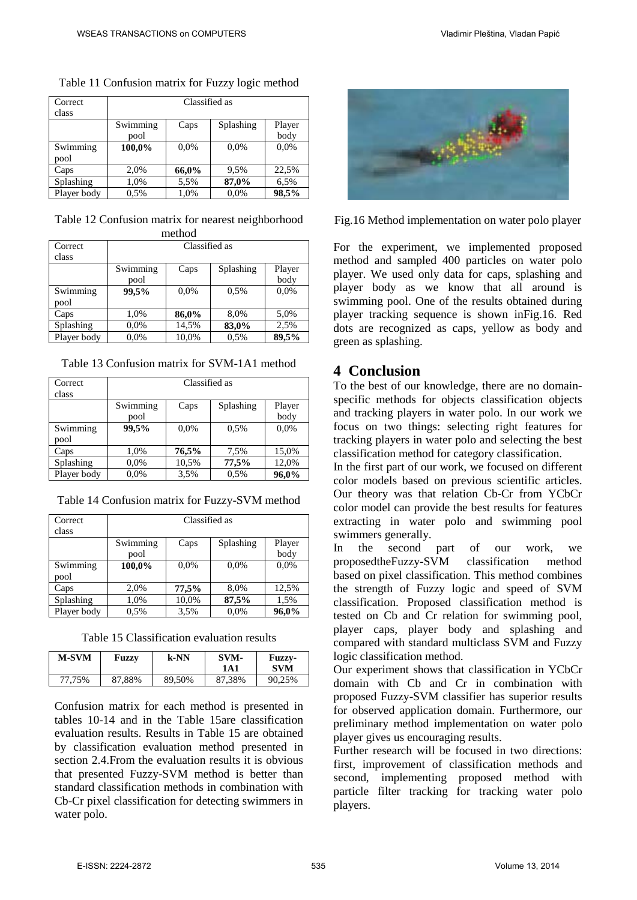| Correct     | Classified as |       |           |        |  |  |
|-------------|---------------|-------|-----------|--------|--|--|
| class       |               |       |           |        |  |  |
|             | Swimming      | Caps  | Splashing | Player |  |  |
|             | pool          |       |           | body   |  |  |
| Swimming    | 100,0%        | 0.0%  | 0,0%      | 0,0%   |  |  |
| pool        |               |       |           |        |  |  |
| Caps        | 2,0%          | 66,0% | 9,5%      | 22,5%  |  |  |
| Splashing   | 1,0%          | 5,5%  | 87,0%     | 6,5%   |  |  |
| Player body | 0.5%          | 1,0%  | 0.0%      | 98,5%  |  |  |

Table 11 Confusion matrix for Fuzzy logic method

Table 12 Confusion matrix for nearest neighborhood method

| Correct     | Classified as |       |           |        |
|-------------|---------------|-------|-----------|--------|
| class       |               |       |           |        |
|             | Swimming      | Caps  | Splashing | Player |
|             | pool          |       |           | body   |
| Swimming    | 99,5%         | 0.0%  | 0.5%      | 0,0%   |
| pool        |               |       |           |        |
| Caps        | 1,0%          | 86,0% | 8,0%      | 5,0%   |
| Splashing   | 0.0%          | 14,5% | 83,0%     | 2,5%   |
| Player body | 0.0%          | 10,0% | 0,5%      | 89,5%  |

Table 13 Confusion matrix for SVM-1A1 method

| Correct<br>class | Classified as    |       |           |                |
|------------------|------------------|-------|-----------|----------------|
|                  | Swimming<br>pool | Caps  | Splashing | Player<br>body |
| Swimming<br>pool | 99.5%            | 0.0%  | 0.5%      | 0,0%           |
| Caps             | 1,0%             | 76,5% | 7,5%      | 15,0%          |
| Splashing        | 0.0%             | 10.5% | 77,5%     | 12,0%          |
| Player body      | 0.0%             | 3,5%  | 0.5%      | 96,0%          |

Table 14 Confusion matrix for Fuzzy-SVM method

| Correct          | Classified as    |       |           |                |
|------------------|------------------|-------|-----------|----------------|
| class            |                  |       |           |                |
|                  | Swimming<br>pool | Caps  | Splashing | Player<br>body |
| Swimming<br>pool | 100,0%           | 0.0%  | 0,0%      | 0,0%           |
| Caps             | 2,0%             | 77,5% | 8,0%      | 12,5%          |
| Splashing        | 1,0%             | 10,0% | 87,5%     | 1,5%           |
| Player body      | 0.5%             | 3,5%  | 0.0%      | 96,0%          |

Table 15 Classification evaluation results

| <b>M-SVM</b> | Fuzzy  | k-NN   | SVM-<br>1 A 1 | <b>Fuzzy-</b><br><b>SVM</b> |
|--------------|--------|--------|---------------|-----------------------------|
| 77.75%       | 87,88% | 89,50% | 87,38%        | 90,25%                      |

Confusion matrix for each method is presented in tables 10-14 and in the Table 15are classification evaluation results. Results in Table 15 are obtained by classification evaluation method presented in section 2.4.From the evaluation results it is obvious that presented Fuzzy-SVM method is better than standard classification methods in combination with Cb-Cr pixel classification for detecting swimmers in water polo.



Fig.16 Method implementation on water polo player

For the experiment, we implemented proposed method and sampled 400 particles on water polo player. We used only data for caps, splashing and player body as we know that all around is swimming pool. One of the results obtained during player tracking sequence is shown inFig.16. Red dots are recognized as caps, yellow as body and green as splashing.

## **4 Conclusion**

To the best of our knowledge, there are no domainspecific methods for objects classification objects and tracking players in water polo. In our work we focus on two things: selecting right features for tracking players in water polo and selecting the best classification method for category classification.

In the first part of our work, we focused on different color models based on previous scientific articles. Our theory was that relation Cb-Cr from YCbCr color model can provide the best results for features extracting in water polo and swimming pool swimmers generally.

In the second part of our work, we proposedtheFuzzy-SVM classification method based on pixel classification. This method combines the strength of Fuzzy logic and speed of SVM classification. Proposed classification method is tested on Cb and Cr relation for swimming pool, player caps, player body and splashing and compared with standard multiclass SVM and Fuzzy logic classification method.

Our experiment shows that classification in YCbCr domain with Cb and Cr in combination with proposed Fuzzy-SVM classifier has superior results for observed application domain. Furthermore, our preliminary method implementation on water polo player gives us encouraging results.

Further research will be focused in two directions: first, improvement of classification methods and second, implementing proposed method with particle filter tracking for tracking water polo players.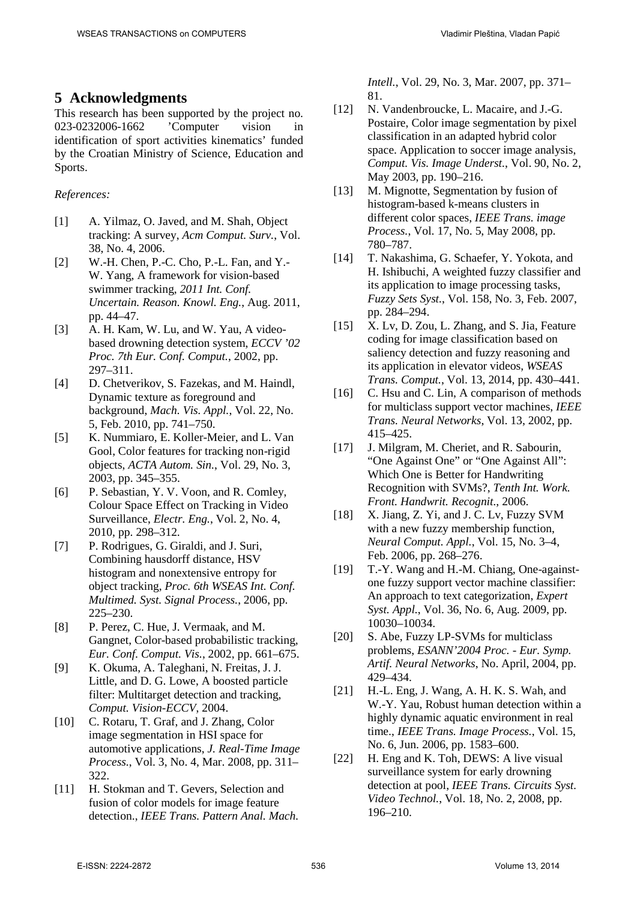## **5 Acknowledgments**

This research has been supported by the project no. 023-0232006-1662 'Computer vision in identification of sport activities kinematics' funded by the Croatian Ministry of Science, Education and Sports.

#### *References:*

- [1] A. Yilmaz, O. Javed, and M. Shah, Object tracking: A survey, *Acm Comput. Surv.*, Vol. 38, No. 4, 2006.
- [2] W.-H. Chen, P.-C. Cho, P.-L. Fan, and Y.- W. Yang, A framework for vision-based swimmer tracking, *2011 Int. Conf. Uncertain. Reason. Knowl. Eng.*, Aug. 2011, pp. 44–47.
- [3] A. H. Kam, W. Lu, and W. Yau, A videobased drowning detection system, *ECCV '02 Proc. 7th Eur. Conf. Comput.*, 2002, pp. 297–311.
- [4] D. Chetverikov, S. Fazekas, and M. Haindl, Dynamic texture as foreground and background, *Mach. Vis. Appl.*, Vol. 22, No. 5, Feb. 2010, pp. 741–750.
- [5] K. Nummiaro, E. Koller-Meier, and L. Van Gool, Color features for tracking non-rigid objects, *ACTA Autom. Sin.*, Vol. 29, No. 3, 2003, pp. 345–355.
- [6] P. Sebastian, Y. V. Voon, and R. Comley, Colour Space Effect on Tracking in Video Surveillance, *Electr. Eng.*, Vol. 2, No. 4, 2010, pp. 298–312.
- [7] P. Rodrigues, G. Giraldi, and J. Suri, Combining hausdorff distance, HSV histogram and nonextensive entropy for object tracking, *Proc. 6th WSEAS Int. Conf. Multimed. Syst. Signal Process.*, 2006, pp. 225–230.
- [8] P. Perez, C. Hue, J. Vermaak, and M. Gangnet, Color-based probabilistic tracking, *Eur. Conf. Comput. Vis.*, 2002, pp. 661–675.
- [9] K. Okuma, A. Taleghani, N. Freitas, J. J. Little, and D. G. Lowe, A boosted particle filter: Multitarget detection and tracking, *Comput. Vision-ECCV*, 2004.
- [10] C. Rotaru, T. Graf, and J. Zhang, Color image segmentation in HSI space for automotive applications, *J. Real-Time Image Process.*, Vol. 3, No. 4, Mar. 2008, pp. 311– 322.
- [11] H. Stokman and T. Gevers, Selection and fusion of color models for image feature detection., *IEEE Trans. Pattern Anal. Mach.*

*Intell.*, Vol. 29, No. 3, Mar. 2007, pp. 371– 81.

- [12] N. Vandenbroucke, L. Macaire, and J.-G. Postaire, Color image segmentation by pixel classification in an adapted hybrid color space. Application to soccer image analysis, *Comput. Vis. Image Underst.*, Vol. 90, No. 2, May 2003, pp. 190–216.
- [13] M. Mignotte, Segmentation by fusion of histogram-based k-means clusters in different color spaces, *IEEE Trans. image Process.*, Vol. 17, No. 5, May 2008, pp. 780–787.
- [14] T. Nakashima, G. Schaefer, Y. Yokota, and H. Ishibuchi, A weighted fuzzy classifier and its application to image processing tasks, *Fuzzy Sets Syst.*, Vol. 158, No. 3, Feb. 2007, pp. 284–294.
- [15] X. Lv, D. Zou, L. Zhang, and S. Jia, Feature coding for image classification based on saliency detection and fuzzy reasoning and its application in elevator videos, *WSEAS Trans. Comput.*, Vol. 13, 2014, pp. 430–441.
- [16] C. Hsu and C. Lin, A comparison of methods for multiclass support vector machines, *IEEE Trans. Neural Networks*, Vol. 13, 2002, pp. 415–425.
- [17] J. Milgram, M. Cheriet, and R. Sabourin, "One Against One" or "One Against All": Which One is Better for Handwriting Recognition with SVMs?, *Tenth Int. Work. Front. Handwrit. Recognit.*, 2006.
- [18] X. Jiang, Z. Yi, and J. C. Lv, Fuzzy SVM with a new fuzzy membership function, *Neural Comput. Appl.*, Vol. 15, No. 3–4, Feb. 2006, pp. 268–276.
- [19] T.-Y. Wang and H.-M. Chiang, One-againstone fuzzy support vector machine classifier: An approach to text categorization, *Expert Syst. Appl.*, Vol. 36, No. 6, Aug. 2009, pp. 10030–10034.
- [20] S. Abe, Fuzzy LP-SVMs for multiclass problems, *ESANN'2004 Proc. - Eur. Symp. Artif. Neural Networks*, No. April, 2004, pp. 429–434.
- [21] H.-L. Eng, J. Wang, A. H. K. S. Wah, and W.-Y. Yau, Robust human detection within a highly dynamic aquatic environment in real time., *IEEE Trans. Image Process.*, Vol. 15, No. 6, Jun. 2006, pp. 1583–600.
- [22] H. Eng and K. Toh, DEWS: A live visual surveillance system for early drowning detection at pool, *IEEE Trans. Circuits Syst. Video Technol.*, Vol. 18, No. 2, 2008, pp. 196–210.